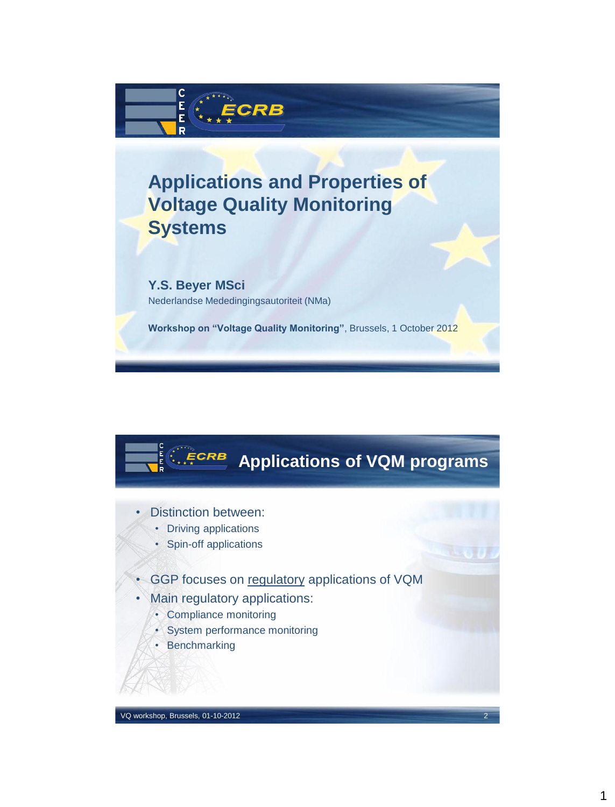

## **Applications and Properties of Voltage Quality Monitoring Systems**

**Y.S. Beyer MSci** Nederlandse Mededingingsautoriteit (NMa)

**Workshop on "Voltage Quality Monitoring"**, Brussels, 1 October 2012

## **Applications of VQM programs**

- Distinction between:
	- Driving applications
	- Spin-off applications
- GGP focuses on regulatory applications of VQM
- Main regulatory applications:
	- Compliance monitoring
	- System performance monitoring
	- Benchmarking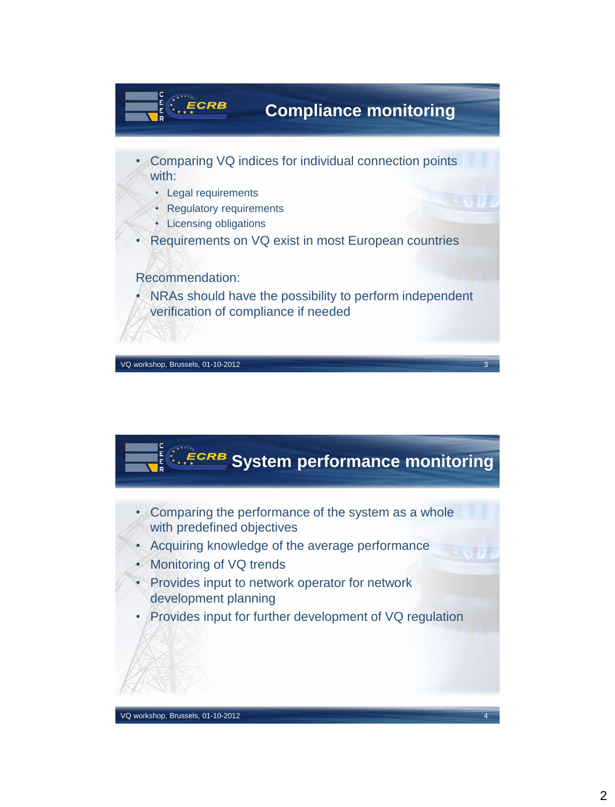

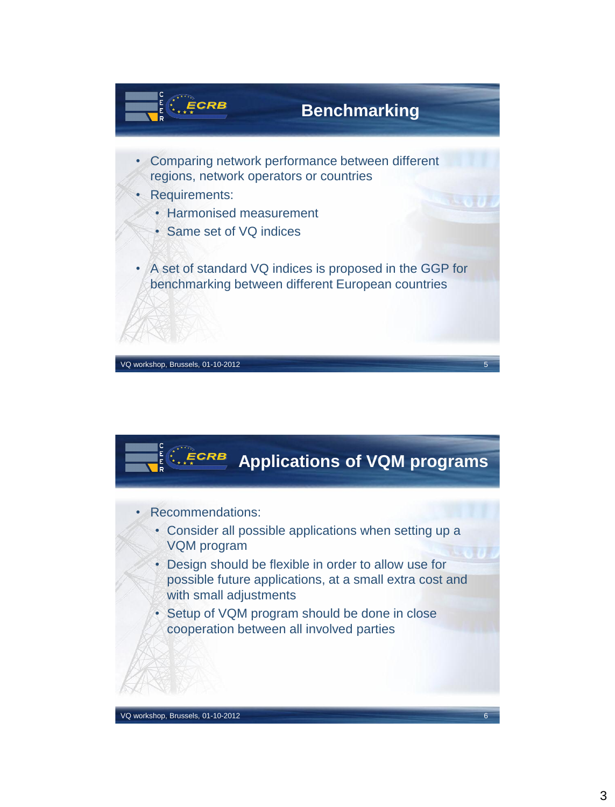

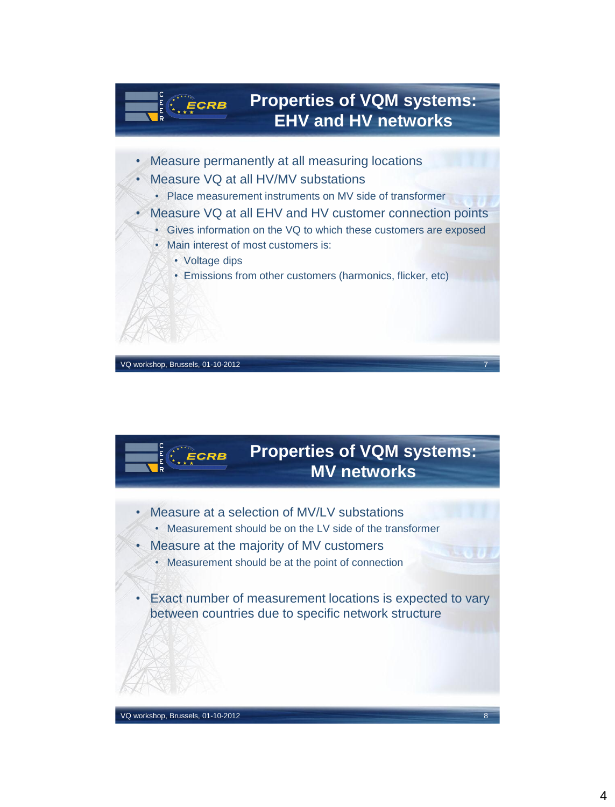



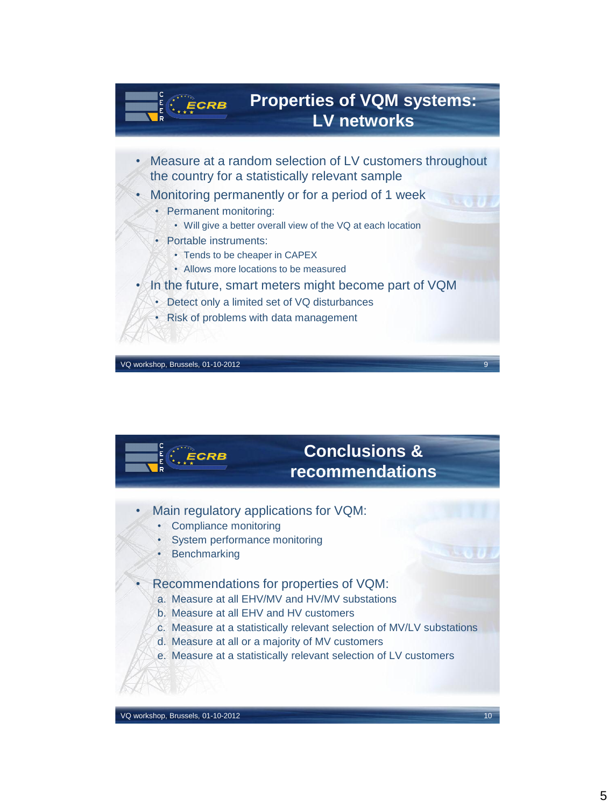